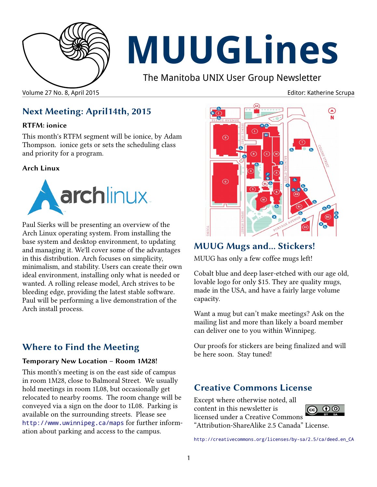

# **MUUGLines**

The Manitoba UNIX User Group Newsletter

Volume 27 No. 8, April 2015 Editor: Katherine Scrupa

# **Next Meeting: April14th, 2015**

#### **RTFM: ionice**

This month's RTFM segment will be ionice, by Adam Thompson. ionice gets or sets the scheduling class and priority for a program.

#### **Arch Linux**



Paul Sierks will be presenting an overview of the Arch Linux operating system. From installing the base system and desktop environment, to updating and managing it. We'll cover some of the advantages in this distribution. Arch focuses on simplicity, minimalism, and stability. Users can create their own ideal environment, installing only what is needed or wanted. A rolling release model, Arch strives to be bleeding edge, providing the latest stable software. Paul will be performing a live demonstration of the Arch install process.

### **Where to Find the Meeting**

#### **Temporary New Location – Room 1M28!**

This month's meeting is on the east side of campus in room 1M28, close to Balmoral Street. We usually hold meetings in room 1L08, but occasionally get relocated to nearby rooms. The room change will be conveyed via a sign on the door to 1L08. Parking is available on the surrounding streets. Please see <http://www.uwinnipeg.ca/maps> for further information about parking and access to the campus.



# **MUUG Mugs and... Stickers!**

MUUG has only a few coffee mugs left!

Cobalt blue and deep laser-etched with our age old, lovable logo for only \$15. They are quality mugs, made in the USA, and have a fairly large volume capacity.

Want a mug but can't make meetings? Ask on the mailing list and more than likely a board member can deliver one to you within Winnipeg.

Our proofs for stickers are being finalized and will be here soon. Stay tuned!

### **Creative Commons License**

Except where otherwise noted, all content in this newsletter is licensed under a Creative Commons "Attribution-ShareAlike 2.5 Canada" License.



[http://creativecommons.org/licenses/by-sa/2.5/ca/deed.en\\_CA](http://creativecommons.org/licenses/by-sa/2.5/ca/deed.en_CA)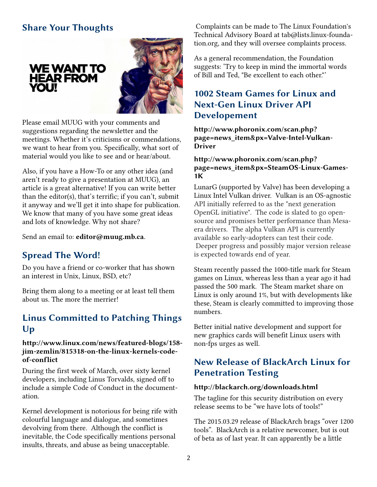# **Share Your Thoughts**

**WE WANT TO HEAR FROM** 

**YOU!** 



Please email MUUG with your comments and suggestions regarding the newsletter and the meetings. Whether it's criticisms or commendations, we want to hear from you. Specifically, what sort of material would you like to see and or hear/about.

Also, if you have a How-To or any other idea (and aren't ready to give a presentation at MUUG), an article is a great alternative! If you can write better than the editor(s), that's terrific; if you can't, submit it anyway and we'll get it into shape for publication. We know that many of you have some great ideas and lots of knowledge. Why not share?

Send an email to: **editor@muug.mb.ca**.

#### **Spread The Word!**

Do you have a friend or co-worker that has shown an interest in Unix, Linux, BSD, etc?

Bring them along to a meeting or at least tell them about us. The more the merrier!

#### **Linus Committed to Patching Things Up**

#### **http://www.linux.com/news/featured-blogs/158 jim-zemlin/815318-on-the-linux-kernels-codeof-conflict**

During the first week of March, over sixty kernel developers, including Linus Torvalds, signed off to include a simple Code of Conduct in the documentation.

Kernel development is notorious for being rife with colourful language and dialogue, and sometimes devolving from there. Although the conflict is inevitable, the Code specifically mentions personal insults, threats, and abuse as being unacceptable.

Complaints can be made to The Linux Foundation's Technical Advisory Board at tab@lists.linux-foundation.org, and they will oversee complaints process.

As a general recommendation, the Foundation suggests: 'Try to keep in mind the immortal words of Bill and Ted, "Be excellent to each other."'

#### **1002 Steam Games for Linux and Next-Gen Linux Driver API Developement**

**http://www.phoronix.com/scan.php? page=news\_item&px=Valve-Intel-Vulkan-Driver**

#### **http://www.phoronix.com/scan.php? page=news\_item&px=SteamOS-Linux-Games-1K**

LunarG (supported by Valve) has been developing a Linux Intel Vulkan driver. Vulkan is an OS-agnostic API initially referred to as the "next generation OpenGL initiative". The code is slated to go opensource and promises better performance than Mesaera drivers. The alpha Vulkan API is currently available so early-adopters can test their code. Deeper progress and possibly major version release is expected towards end of year.

Steam recently passed the 1000-title mark for Steam games on Linux, whereas less than a year ago it had passed the 500 mark. The Steam market share on Linux is only around 1%, but with developments like these, Steam is clearly committed to improving those numbers.

Better initial native development and support for new graphics cards will benefit Linux users with non-fps urges as well.

#### **New Release of BlackArch Linux for Penetration Testing**

#### **http://blackarch.org/downloads.html**

The tagline for this security distribution on every release seems to be "we have lots of tools!"

The 2015.03.29 release of BlackArch brags "over 1200 tools". BlackArch is a relative newcomer, but is out of beta as of last year. It can apparently be a little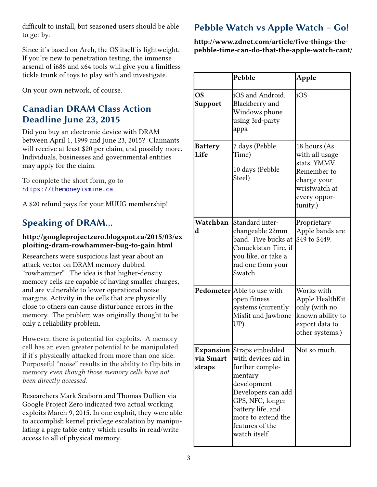difficult to install, but seasoned users should be able to get by.

Since it's based on Arch, the OS itself is lightweight. If you're new to penetration testing, the immense arsenal of i686 and x64 tools will give you a limitless tickle trunk of toys to play with and investigate.

On your own network, of course.

# **Canadian DRAM Class Action Deadline June 23, 2015**

Did you buy an electronic device with DRAM between April 1, 1999 and June 23, 2015? Claimants will receive at least \$20 per claim, and possibly more. Individuals, businesses and governmental entities may apply for the claim.

To complete the short form, go to https://themoneyismine.ca

A \$20 refund pays for your MUUG membership!

# **Speaking of DRAM…**

#### **http://googleprojectzero.blogspot.ca/2015/03/ex ploiting-dram-rowhammer-bug-to-gain.html**

Researchers were suspicious last year about an attack vector on DRAM memory dubbed "rowhammer". The idea is that higher-density memory cells are capable of having smaller charges, and are vulnerable to lower operational noise margins. Activity in the cells that are physically close to others can cause disturbance errors in the memory. The problem was originally thought to be only a reliability problem.

However, there is potential for exploits. A memory cell has an even greater potential to be manipulated if it's physically attacked from more than one side. Purposeful "noise" results in the ability to flip bits in memory *even though those memory cells have not been directly accessed.*

Researchers Mark Seaborn and Thomas Dullien via Google Project Zero indicated two actual working exploits March 9, 2015. In one exploit, they were able to accomplish kernel privilege escalation by manipulating a page table entry which results in read/write access to all of physical memory.

# **Pebble Watch vs Apple Watch – Go!**

**http://www.zdnet.com/article/five-things-thepebble-time-can-do-that-the-apple-watch-cant/**

|                             | Pebble                                                                                                                                                                                                                        | Apple                                                                                                                     |
|-----------------------------|-------------------------------------------------------------------------------------------------------------------------------------------------------------------------------------------------------------------------------|---------------------------------------------------------------------------------------------------------------------------|
| <b>OS</b><br><b>Support</b> | iOS and Android.<br>Blackberry and<br>Windows phone<br>using 3rd-party<br>apps.                                                                                                                                               | iOS                                                                                                                       |
| <b>Battery</b><br>Life      | 7 days (Pebble<br>Time)<br>10 days (Pebble<br>Steel)                                                                                                                                                                          | 18 hours (As<br>with all usage<br>stats, YMMV.<br>Remember to<br>charge your<br>wristwatch at<br>every oppor-<br>tunity.) |
| Watchban<br>d               | Standard inter-<br>changeable 22mm<br>band. Five bucks at<br>Canuckistan Tire, if<br>you like, or take a<br>rad one from your<br>Swatch.                                                                                      | Proprietary<br>Apple bands are<br>\$49 to \$449.                                                                          |
|                             | Pedometer Able to use with<br>open fitness<br>systems (currently<br>Misfit and Jawbone<br>UP).                                                                                                                                | Works with<br>Apple HealthKit<br>only (with no<br>known ability to<br>export data to<br>other systems.)                   |
| via Smart<br>straps         | <b>Expansion Straps embedded</b><br>with devices aid in<br>further comple-<br>mentary<br>development<br>Developers can add<br>GPS, NFC, longer<br>battery life, and<br>more to extend the<br>features of the<br>watch itself. | Not so much.                                                                                                              |